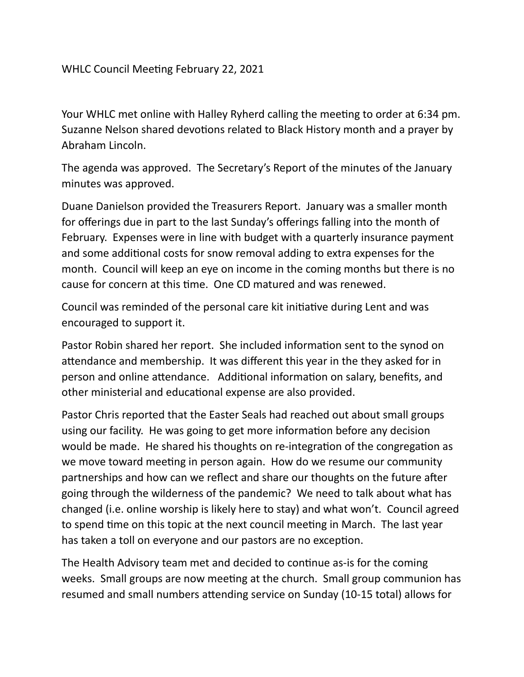Your WHLC met online with Halley Ryherd calling the meeting to order at 6:34 pm. Suzanne Nelson shared devotions related to Black History month and a prayer by Abraham Lincoln. 

The agenda was approved. The Secretary's Report of the minutes of the January minutes was approved.

Duane Danielson provided the Treasurers Report. January was a smaller month for offerings due in part to the last Sunday's offerings falling into the month of February. Expenses were in line with budget with a quarterly insurance payment and some additional costs for snow removal adding to extra expenses for the month. Council will keep an eye on income in the coming months but there is no cause for concern at this time. One CD matured and was renewed.

Council was reminded of the personal care kit initiative during Lent and was encouraged to support it.

Pastor Robin shared her report. She included information sent to the synod on attendance and membership. It was different this year in the they asked for in person and online attendance. Additional information on salary, benefits, and other ministerial and educational expense are also provided.

Pastor Chris reported that the Easter Seals had reached out about small groups using our facility. He was going to get more information before any decision would be made. He shared his thoughts on re-integration of the congregation as we move toward meeting in person again. How do we resume our community partnerships and how can we reflect and share our thoughts on the future after going through the wilderness of the pandemic? We need to talk about what has changed (i.e. online worship is likely here to stay) and what won't. Council agreed to spend time on this topic at the next council meeting in March. The last year has taken a toll on everyone and our pastors are no exception.

The Health Advisory team met and decided to continue as-is for the coming weeks. Small groups are now meeting at the church. Small group communion has resumed and small numbers attending service on Sunday (10-15 total) allows for